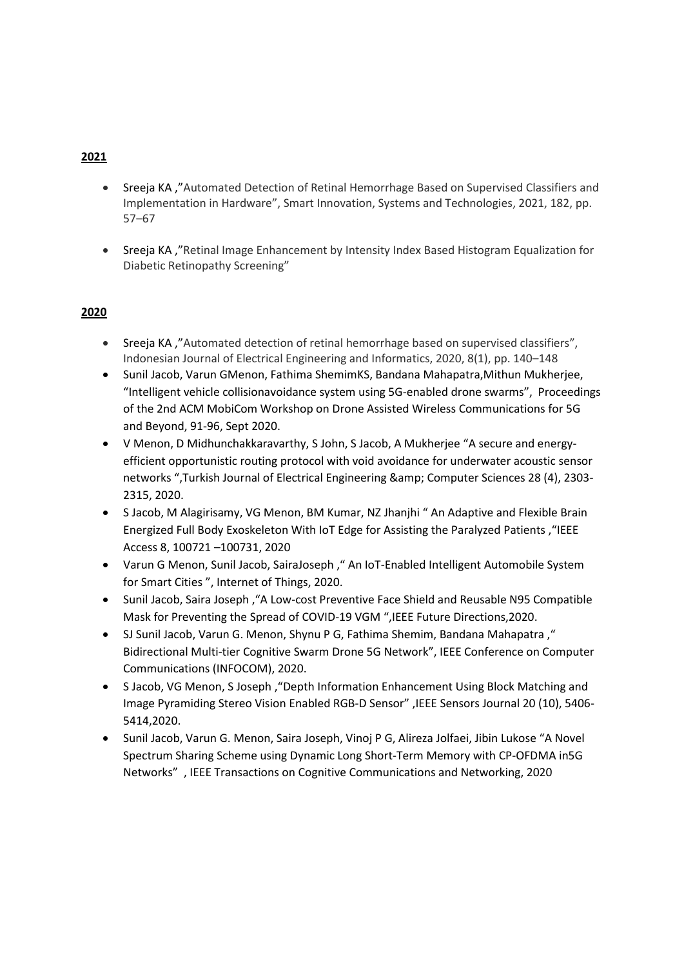- Sreeja KA ,"Automated Detection of Retinal Hemorrhage Based on Supervised Classifiers and Implementation in Hardware", Smart Innovation, Systems and Technologies, 2021, 182, pp. 57–67
- Sreeja KA ,"Retinal Image Enhancement by Intensity Index Based Histogram Equalization for Diabetic Retinopathy Screening"

- Sreeja KA ,"Automated detection of retinal hemorrhage based on supervised classifiers", Indonesian Journal of Electrical Engineering and Informatics, 2020, 8(1), pp. 140–148
- Sunil Jacob, Varun GMenon, Fathima ShemimKS, Bandana Mahapatra,Mithun Mukherjee, "Intelligent vehicle collisionavoidance system using 5G-enabled drone swarms", Proceedings of the 2nd ACM MobiCom Workshop on Drone Assisted Wireless Communications for 5G and Beyond, 91-96, Sept 2020.
- V Menon, D Midhunchakkaravarthy, S John, S Jacob, A Mukherjee "A secure and energyefficient opportunistic routing protocol with void avoidance for underwater acoustic sensor networks ",Turkish Journal of Electrical Engineering & amp; Computer Sciences 28 (4), 2303-2315, 2020.
- S Jacob, M Alagirisamy, VG Menon, BM Kumar, NZ Jhanjhi " An Adaptive and Flexible Brain Energized Full Body Exoskeleton With IoT Edge for Assisting the Paralyzed Patients ,"IEEE Access 8, 100721 –100731, 2020
- Varun G Menon, Sunil Jacob, SairaJoseph ," An IoT-Enabled Intelligent Automobile System for Smart Cities ", Internet of Things, 2020.
- Sunil Jacob, Saira Joseph ,"A Low-cost Preventive Face Shield and Reusable N95 Compatible Mask for Preventing the Spread of COVID-19 VGM ",IEEE Future Directions,2020.
- SJ Sunil Jacob, Varun G. Menon, Shynu P G, Fathima Shemim, Bandana Mahapatra ," Bidirectional Multi-tier Cognitive Swarm Drone 5G Network", IEEE Conference on Computer Communications (INFOCOM), 2020.
- S Jacob, VG Menon, S Joseph ,"Depth Information Enhancement Using Block Matching and Image Pyramiding Stereo Vision Enabled RGB-D Sensor" ,IEEE Sensors Journal 20 (10), 5406- 5414,2020.
- Sunil Jacob, Varun G. Menon, Saira Joseph, Vinoj P G, Alireza Jolfaei, Jibin Lukose "A Novel Spectrum Sharing Scheme using Dynamic Long Short-Term Memory with CP-OFDMA in5G Networks" , IEEE Transactions on Cognitive Communications and Networking, 2020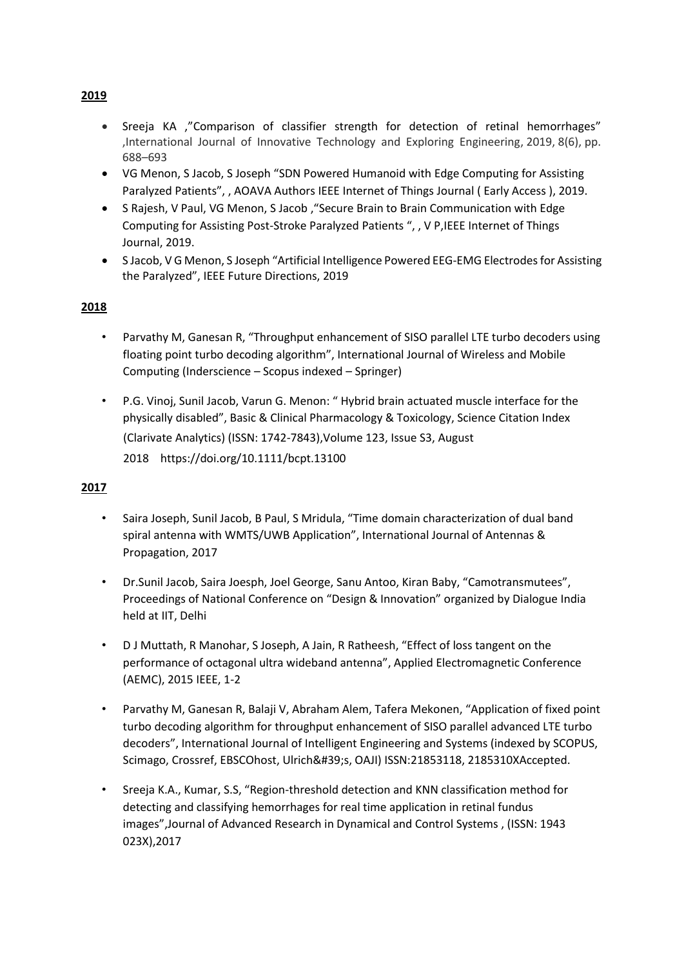- Sreeja KA ,"Comparison of classifier strength for detection of retinal hemorrhages" ,International Journal of Innovative Technology and Exploring Engineering, 2019, 8(6), pp. 688–693
- VG Menon, S Jacob, S Joseph "SDN Powered Humanoid with Edge Computing for Assisting Paralyzed Patients", , AOAVA Authors IEEE Internet of Things Journal ( Early Access ), 2019.
- S Rajesh, V Paul, VG Menon, S Jacob ,"Secure Brain to Brain Communication with Edge Computing for Assisting Post-Stroke Paralyzed Patients ", , V P,IEEE Internet of Things Journal, 2019.
- S Jacob, V G Menon, S Joseph "Artificial Intelligence Powered EEG-EMG Electrodes for Assisting the Paralyzed", IEEE Future Directions, 2019

- Parvathy M, Ganesan R, "Throughput enhancement of SISO parallel LTE turbo decoders using floating point turbo decoding algorithm", International Journal of Wireless and Mobile Computing (Inderscience – Scopus indexed – Springer)
- P.G. Vinoj, Sunil Jacob, Varun G. Menon: " Hybrid brain actuated muscle interface for the physically disabled", Basic & Clinical Pharmacology & Toxicology, Science Citation Index (Clarivate Analytics) (ISSN: 1742-7843),Volume 123, Issue S3, August 2018 https://doi.org/10.1111/bcpt.13100

# **2017**

- Saira Joseph, Sunil Jacob, B Paul, S Mridula, "Time domain characterization of dual band spiral antenna with WMTS/UWB Application", International Journal of Antennas & Propagation, 2017
- Dr.Sunil Jacob, Saira Joesph, Joel George, Sanu Antoo, Kiran Baby, "Camotransmutees", Proceedings of National Conference on "Design & Innovation" organized by Dialogue India held at IIT, Delhi
- D J Muttath, R Manohar, S Joseph, A Jain, R Ratheesh, "Effect of loss tangent on the performance of octagonal ultra wideband antenna", Applied Electromagnetic Conference (AEMC), 2015 IEEE, 1-2
- Parvathy M, Ganesan R, Balaji V, Abraham Alem, Tafera Mekonen, "Application of fixed point turbo decoding algorithm for throughput enhancement of SISO parallel advanced LTE turbo decoders", International Journal of Intelligent Engineering and Systems (indexed by SCOPUS, Scimago, Crossref, EBSCOhost, Ulrich's, OAJI) ISSN:21853118, 2185310XAccepted.
- Sreeja K.A., Kumar, S.S, "Region-threshold detection and KNN classification method for detecting and classifying hemorrhages for real time application in retinal fundus images",Journal of Advanced Research in Dynamical and Control Systems , (ISSN: 1943 023X),2017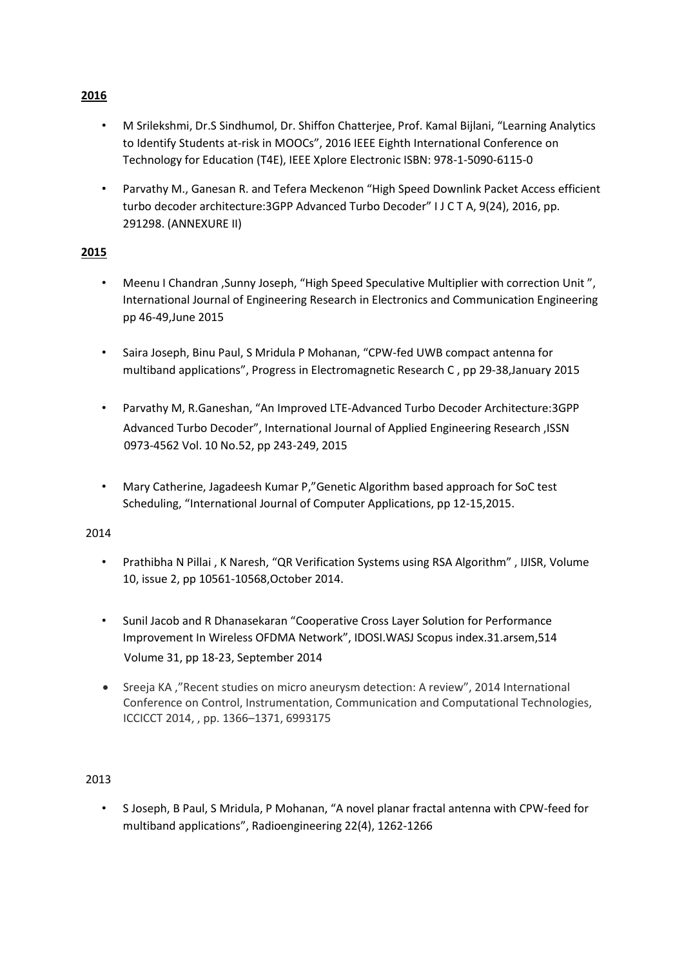- M Srilekshmi, Dr.S Sindhumol, Dr. Shiffon Chatterjee, Prof. Kamal Bijlani, "Learning Analytics to Identify Students at-risk in MOOCs", 2016 IEEE Eighth International Conference on Technology for Education (T4E), IEEE Xplore Electronic ISBN: 978-1-5090-6115-0
- Parvathy M., Ganesan R. and Tefera Meckenon "High Speed Downlink Packet Access efficient turbo decoder architecture:3GPP Advanced Turbo Decoder" I J C T A, 9(24), 2016, pp. 291298. (ANNEXURE II)

- Meenu I Chandran ,Sunny Joseph, "High Speed Speculative Multiplier with correction Unit ", International Journal of Engineering Research in Electronics and Communication Engineering pp 46-49,June 2015
- Saira Joseph, Binu Paul, S Mridula P Mohanan, "CPW-fed UWB compact antenna for multiband applications", Progress in Electromagnetic Research C , pp 29-38,January 2015
- Parvathy M, R.Ganeshan, "An Improved LTE-Advanced Turbo Decoder Architecture:3GPP Advanced Turbo Decoder", International Journal of Applied Engineering Research ,ISSN 0973-4562 Vol. 10 No.52, pp 243-249, 2015
- Mary Catherine, Jagadeesh Kumar P,"Genetic Algorithm based approach for SoC test Scheduling, "International Journal of Computer Applications, pp 12-15,2015.

# 2014

- Prathibha N Pillai , K Naresh, "QR Verification Systems using RSA Algorithm" , IJISR, Volume 10, issue 2, pp 10561-10568,October 2014.
- Sunil Jacob and R Dhanasekaran "Cooperative Cross Layer Solution for Performance Improvement In Wireless OFDMA Network", IDOSI.WASJ Scopus index.31.arsem,514 Volume 31, pp 18-23, September 2014
- Sreeja KA ,"Recent studies on micro aneurysm detection: A review", 2014 International Conference on Control, Instrumentation, Communication and Computational Technologies, ICCICCT 2014, , pp. 1366–1371, 6993175

# 2013

• S Joseph, B Paul, S Mridula, P Mohanan, "A novel planar fractal antenna with CPW-feed for multiband applications", Radioengineering 22(4), 1262-1266